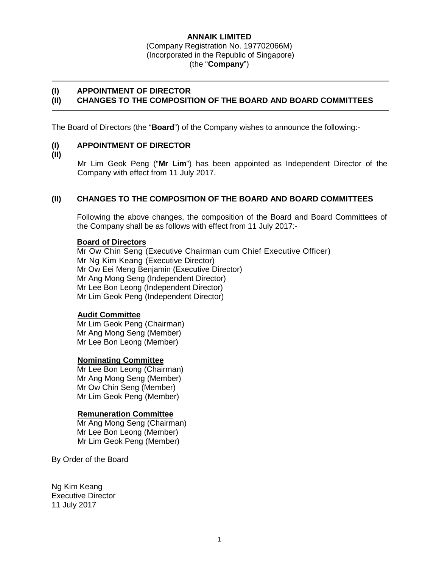## **ANNAIK LIMITED** (Company Registration No. 197702066M) (Incorporated in the Republic of Singapore) (the "**Company**")

# **(I) APPOINTMENT OF DIRECTOR (II) CHANGES TO THE COMPOSITION OF THE BOARD AND BOARD COMMITTEES**

The Board of Directors (the "**Board**") of the Company wishes to announce the following:-

## **(I) APPOINTMENT OF DIRECTOR**

**(II)**

Mr Lim Geok Peng ("**Mr Lim**") has been appointed as Independent Director of the Company with effect from 11 July 2017.

## **(II) CHANGES TO THE COMPOSITION OF THE BOARD AND BOARD COMMITTEES**

Following the above changes, the composition of the Board and Board Committees of the Company shall be as follows with effect from 11 July 2017:-

### **Board of Directors**

Mr Ow Chin Seng (Executive Chairman cum Chief Executive Officer) Mr Ng Kim Keang (Executive Director) Mr Ow Eei Meng Benjamin (Executive Director) Mr Ang Mong Seng (Independent Director) Mr Lee Bon Leong (Independent Director) Mr Lim Geok Peng (Independent Director)

### **Audit Committee**

Mr Lim Geok Peng (Chairman) Mr Ang Mong Seng (Member) Mr Lee Bon Leong (Member)

### **Nominating Committee**

Mr Lee Bon Leong (Chairman) Mr Ang Mong Seng (Member) Mr Ow Chin Seng (Member) Mr Lim Geok Peng (Member)

### **Remuneration Committee**

Mr Ang Mong Seng (Chairman) Mr Lee Bon Leong (Member) Mr Lim Geok Peng (Member)

By Order of the Board

Ng Kim Keang Executive Director 11 July 2017